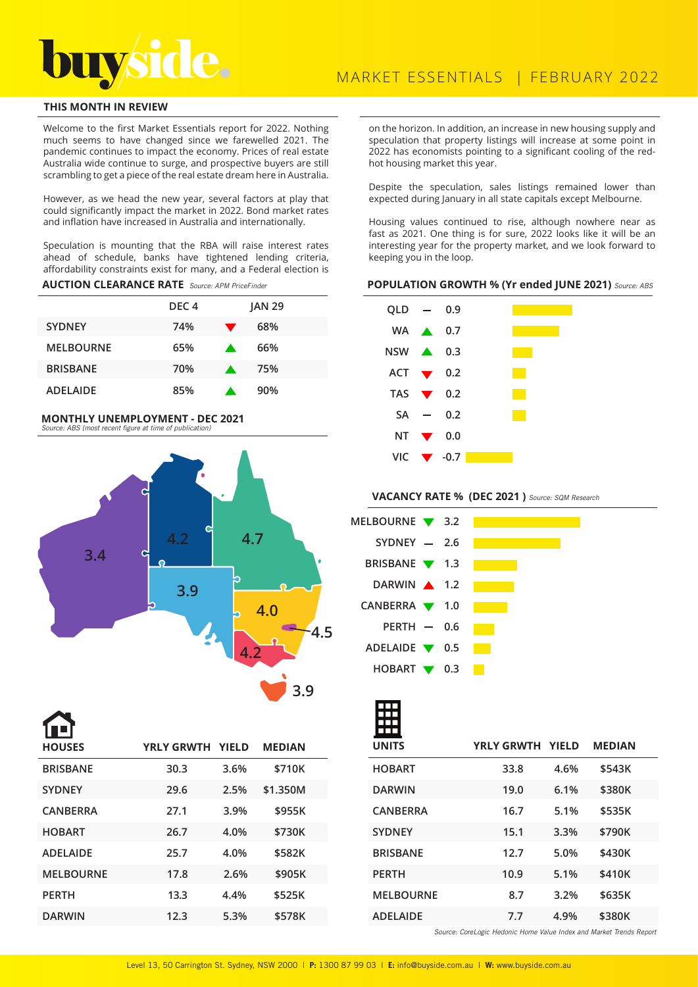# **THIS MONTH IN REVIEW**

Welcome to the first Market Essentials report for 2022. Nothing much seems to have changed since we farewelled 2021. The pandemic continues to impact the economy. Prices of real estate Australia wide continue to surge, and prospective buyers are still scrambling to get a piece of the real estate dream here in Australia.

However, as we head the new year, several factors at play that could significantly impact the market in 2022. Bond market rates and inflation have increased in Australia and internationally.

Speculation is mounting that the RBA will raise interest rates ahead of schedule, banks have tightened lending criteria, affordability constraints exist for many, and a Federal election is

**AUCTION CLEARANCE RATE** Source: APM PriceFinder

|                  | DEC <sub>4</sub> |                  | <b>JAN 29</b> |
|------------------|------------------|------------------|---------------|
| <b>SYDNEY</b>    | 74%              |                  | 68%           |
| <b>MELBOURNE</b> | 65%              | $\blacktriangle$ | 66%           |
| <b>BRISBANE</b>  | 70%              | <b>A</b>         | 75%           |
| <b>ADELAIDE</b>  | 85%              |                  | 90%           |

#### **MONTHLY UNEMPLOYMENT - DEC 2021**  Source: ABS (most recent figure at time of publication)



| ▐▊▀▐             |                         |      |               |  |
|------------------|-------------------------|------|---------------|--|
| <b>HOUSES</b>    | <b>YRLY GRWTH YIELD</b> |      | <b>MEDIAN</b> |  |
| <b>BRISBANE</b>  | 30.3                    | 3.6% | \$710K        |  |
| <b>SYDNEY</b>    | 29.6                    | 2.5% | \$1.350M      |  |
| <b>CANBERRA</b>  | 27.1                    | 3.9% | \$955K        |  |
| <b>HOBART</b>    | 26.7                    | 4.0% | \$730K        |  |
| <b>ADELAIDE</b>  | 25.7                    | 4.0% | \$582K        |  |
| <b>MELBOURNE</b> | 17.8                    | 2.6% | \$905K        |  |
| <b>PERTH</b>     | 13.3                    | 4.4% | \$525K        |  |
| <b>DARWIN</b>    | 12.3                    | 5.3% | \$578K        |  |

on the horizon. In addition, an increase in new housing supply and speculation that property listings will increase at some point in 2022 has economists pointing to a significant cooling of the redhot housing market this year.

Despite the speculation, sales listings remained lower than expected during January in all state capitals except Melbourne.

Housing values continued to rise, although nowhere near as fast as 2021. One thing is for sure, 2022 looks like it will be an interesting year for the property market, and we look forward to keeping you in the loop.

### **POPULATION GROWTH % (Yr ended JUNE 2021)** Source: ABS



VACANCY RATE % (DEC 2021) Source: SQM Research

| MELBOURNE 3.2                     |  |  |  |  |
|-----------------------------------|--|--|--|--|
| $SYDNEY - 2.6$                    |  |  |  |  |
| BRISBANE ▼ 1.3                    |  |  |  |  |
| DARWIN 1.2                        |  |  |  |  |
| CANBERRA $\blacktriangledown$ 1.0 |  |  |  |  |
| PERTH $-$ 0.6                     |  |  |  |  |
| ADELAIDE $\blacktriangledown$ 0.5 |  |  |  |  |
| HOBART $\blacktriangledown$ 0.3   |  |  |  |  |

| <b>UNITS</b>     | YRLY GRWTH YIELD |      | <b>MEDIAN</b> |  |
|------------------|------------------|------|---------------|--|
| <b>HOBART</b>    | 33.8             | 4.6% | \$543K        |  |
| <b>DARWIN</b>    | 19.0             | 6.1% | \$380K        |  |
| <b>CANBERRA</b>  | 16.7             | 5.1% | \$535K        |  |
| <b>SYDNEY</b>    | 15.1             | 3.3% | \$790K        |  |
| <b>BRISBANE</b>  | 12.7             | 5.0% | \$430K        |  |
| <b>PERTH</b>     | 10.9             | 5.1% | \$410K        |  |
| <b>MELBOURNE</b> | 8.7              | 3.2% | \$635K        |  |
| <b>ADELAIDE</b>  | 7.7              | 4.9% | \$380K        |  |

Source: CoreLogic Hedonic Home Value Index and Market Trends Report